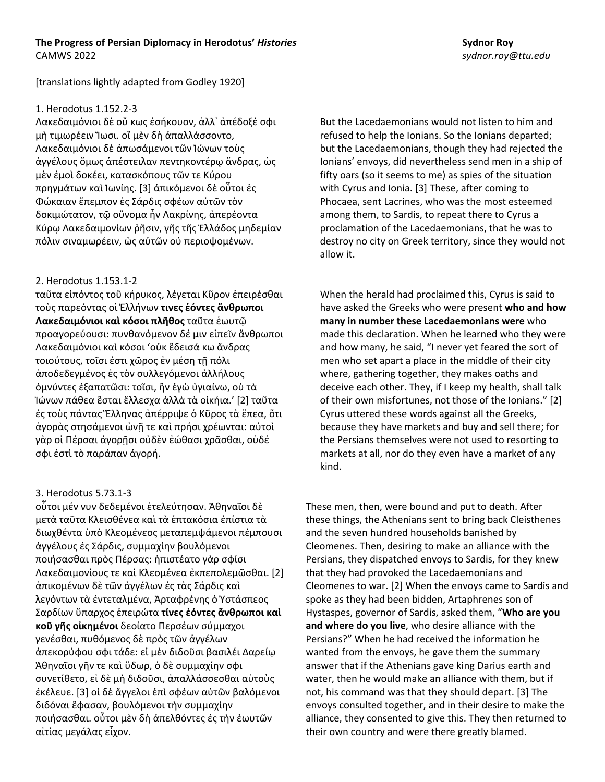[translations lightly adapted from Godley 1920]

## 1. Herodotus 1.152.2‐3

Λακεδαιμόνιοι δὲ οὔ κως ἐσήκουον, ἀλλ᾽ ἀπέδοξέ σφι μὴ τιμωρέειν Ἴωσι. οἳ μὲν δὴ ἀπαλλάσσοντο, Λακεδαιμόνιοι δὲ ἀπωσάμενοι τῶν Ἰώνων τοὺς ἀγγέλους ὅμως ἀπέστειλαν πεντηκοντέρῳ ἄνδρας, ὡς μὲν ἐμοὶ δοκέει, κατασκόπους τῶν τε Κύρου πρηγμάτων καὶ Ἰωνίης. [3] ἀπικόμενοι δὲ οὗτοι ἐς Φώκαιαν ἔπεμπον ἐς Σάρδις σφέων αὐτῶν τὸν δοκιμώτατον, τῷ οὔνομα ἦν Λακρίνης, ἀπερέοντα Κύρῳ Λακεδαιμονίων ῥῆσιν, γῆς τῆς Ἑλλάδος μηδεμίαν πόλιν σιναμωρέειν, ὡς αὐτῶν οὐ περιοψομένων.

# 2. Herodotus 1.153.1‐2

ταῦτα εἰπόντος τοῦ κήρυκος, λέγεται Κῦρον ἐπειρέσθαι τοὺς παρεόντας οἱ Ἑλλήνων **τινες ἐόντες ἄνθρωποι Λακεδαιμόνιοι καὶ κόσοι πλῆθος** ταῦτα ἑωυτῷ προαγορεύουσι: πυνθανόμενον δέ μιν εἰπεῖν ἄνθρωποι Λακεδαιμόνιοι καὶ κόσοι 'οὐκ ἔδεισά κω ἄνδρας τοιούτους, τοῖσι ἐστι χῶρος ἐν μέση τῇ πόλι ἀποδεδεγμένος ἐς τὸν συλλεγόμενοι ἀλλήλους ὀμνύντες ἐξαπατῶσι: τοῖσι, ἢν ἐγὼ ὑγιαίνω, οὐ τὰ Ἰώνων πάθεα ἔσται ἔλλεσχα ἀλλὰ τὰ οἰκήια.' [2] ταῦτα ἐς τοὺς πάντας Ἕλληνας ἀπέρριψε ὁ Κῦρος τὰ ἔπεα, ὅτι ἀγορὰς στησάμενοι ὠνῇ τε καὶ πρήσι χρέωνται: αὐτοὶ γὰρ οἱ Πέρσαι ἀγορῇσι οὐδὲν ἐώθασι χρᾶσθαι, οὐδέ σφι ἐστὶ τὸ παράπαν ἀγορή.

# 3. Herodotus 5.73.1‐3

οὗτοι μέν νυν δεδεμένοι ἐτελεύτησαν. Ἀθηναῖοι δὲ μετὰ ταῦτα Κλεισθένεα καὶ τὰ ἑπτακόσια ἐπίστια τὰ διωχθέντα ὑπὸ Κλεομένεος μεταπεμψάμενοι πέμπουσι ἀγγέλους ἐς Σάρδις, συμμαχίην βουλόμενοι ποιήσασθαι πρὸς Πέρσας: ἠπιστέατο γὰρ σφίσι Λακεδαιμονίους τε καὶ Κλεομένεα ἐκπεπολεμῶσθαι. [2] ἀπικομένων δὲ τῶν ἀγγέλων ἐς τὰς Σάρδις καὶ λεγόντων τὰ ἐντεταλμένα, Ἀρταφρένης ὁ Ὑστάσπεος Σαρδίων ὕπαρχος ἐπειρώτα **τίνες ἐόντες ἄνθρωποι καὶ κοῦ γῆς οἰκημένοι** δεοίατο Περσέων σύμμαχοι γενέσθαι, πυθόμενος δὲ πρὸς τῶν ἀγγέλων ἀπεκορύφου σφι τάδε: εἰ μὲν διδοῦσι βασιλέι Δαρείῳ Ἀθηναῖοι γῆν τε καὶ ὕδωρ, ὁ δὲ συμμαχίην σφι συνετίθετο, εἰ δὲ μὴ διδοῦσι, ἀπαλλάσσεσθαι αὐτοὺς ἐκέλευε. [3] οἱ δὲ ἄγγελοι ἐπὶ σφέων αὐτῶν βαλόμενοι διδόναι ἔφασαν, βουλόμενοι τὴν συμμαχίην ποιήσασθαι. οὗτοι μὲν δὴ ἀπελθόντες ἐς τὴν ἑωυτῶν αἰτίας μεγάλας εἶχον.

But the Lacedaemonians would not listen to him and refused to help the Ionians. So the Ionians departed; but the Lacedaemonians, though they had rejected the Ionians' envoys, did nevertheless send men in a ship of fifty oars (so it seems to me) as spies of the situation with Cyrus and Ionia. [3] These, after coming to Phocaea, sent Lacrines, who was the most esteemed among them, to Sardis, to repeat there to Cyrus a proclamation of the Lacedaemonians, that he was to destroy no city on Greek territory, since they would not allow it.

When the herald had proclaimed this, Cyrus is said to have asked the Greeks who were present **who and how many in number these Lacedaemonians were** who made this declaration. When he learned who they were and how many, he said, "I never yet feared the sort of men who set apart a place in the middle of their city where, gathering together, they makes oaths and deceive each other. They, if I keep my health, shall talk of their own misfortunes, not those of the Ionians." [2] Cyrus uttered these words against all the Greeks, because they have markets and buy and sell there; for the Persians themselves were not used to resorting to markets at all, nor do they even have a market of any kind.

These men, then, were bound and put to death. After these things, the Athenians sent to bring back Cleisthenes and the seven hundred households banished by Cleomenes. Then, desiring to make an alliance with the Persians, they dispatched envoys to Sardis, for they knew that they had provoked the Lacedaemonians and Cleomenes to war. [2] When the envoys came to Sardis and spoke as they had been bidden, Artaphrenes son of Hystaspes, governor of Sardis, asked them, "**Who are you and where do you live**, who desire alliance with the Persians?" When he had received the information he wanted from the envoys, he gave them the summary answer that if the Athenians gave king Darius earth and water, then he would make an alliance with them, but if not, his command was that they should depart. [3] The envoys consulted together, and in their desire to make the alliance, they consented to give this. They then returned to their own country and were there greatly blamed.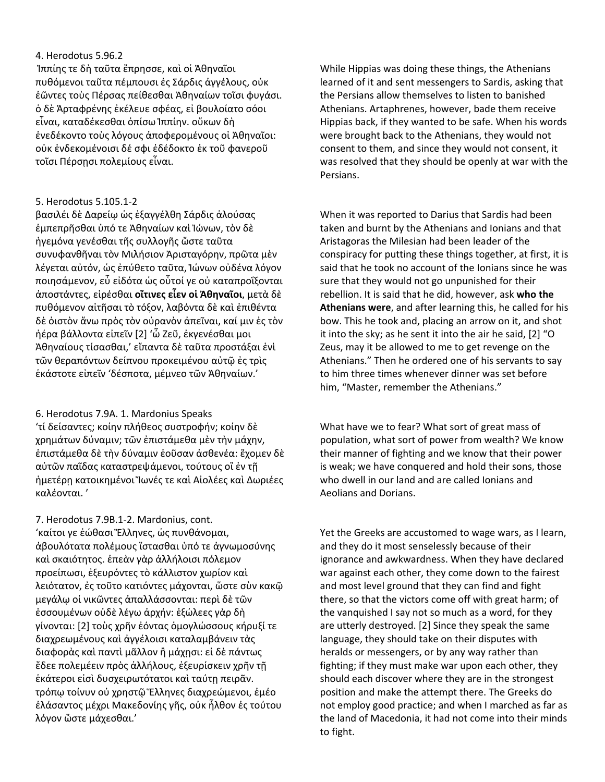## 4. Herodotus 5.96.2

 Ἱππίης τε δὴ ταῦτα ἔπρησσε, καὶ οἱ Ἀθηναῖοι πυθόμενοι ταῦτα πέμπουσι ἐς Σάρδις ἀγγέλους, οὐκ ἐῶντες τοὺς Πέρσας πείθεσθαι Ἀθηναίων τοῖσι φυγάσι. ὁ δὲ Ἀρταφρένης ἐκέλευε σφέας, εἰ βουλοίατο σόοι εἶναι, καταδέκεσθαι ὀπίσω Ἱππίην. οὔκων δὴ ἐνεδέκοντο τοὺς λόγους ἀποφερομένους οἱ Ἀθηναῖοι: οὐκ ἐνδεκομένοισι δέ σφι ἐδέδοκτο ἐκ τοῦ φανεροῦ τοῖσι Πέρσῃσι πολεμίους εἶναι.

### 5. Herodotus 5.105.1‐2

βασιλέι δὲ Δαρείῳ ὡς ἐξαγγέλθη Σάρδις ἁλούσας ἐμπεπρῆσθαι ὑπό τε Ἀθηναίων καὶ Ἰώνων, τὸν δὲ ἡγεμόνα γενέσθαι τῆς συλλογῆς ὥστε ταῦτα συνυφανθῆναι τὸν Μιλήσιον Ἀρισταγόρην, πρῶτα μὲν λέγεται αὐτόν, ὡς ἐπύθετο ταῦτα, Ἰώνων οὐδένα λόγον ποιησάμενον, εὖ εἰδότα ὡς οὗτοί γε οὐ καταπροΐξονται ἀποστάντες, εἰρέσθαι **οἵτινες εἶεν οἱ Ἀθηναῖοι**, μετὰ δὲ πυθόμενον αἰτῆσαι τὸ τόξον, λαβόντα δὲ καὶ ἐπιθέντα δὲ ὀιστὸν ἄνω πρὸς τὸν οὐρανὸν ἀπεῖναι, καί μιν ἐς τὸν ἠέρα βάλλοντα εἰπεῖν [2] 'ὦ Ζεῦ, ἐκγενέσθαι μοι Ἀθηναίους τίσασθαι,' εἴπαντα δὲ ταῦτα προστάξαι ἑνὶ τῶν θεραπόντων δείπνου προκειμένου αὐτῷ ἐς τρὶς ἑκάστοτε εἰπεῖν 'δέσποτα, μέμνεο τῶν Ἀθηναίων.'

6. Herodotus 7.9A. 1. Mardonius Speaks 'τί δείσαντες; κοίην πλήθεος συστροφήν; κοίην δὲ χρημάτων δύναμιν; τῶν ἐπιστάμεθα μὲν τὴν μάχην, ἐπιστάμεθα δὲ τὴν δύναμιν ἐοῦσαν ἀσθενέα: ἔχομεν δὲ αὐτῶν παῖδας καταστρεψάμενοι, τούτους οἳ ἐν τῇ ἡμετέρῃ κατοικημένοι Ἴωνές τε καὶ Αἰολέες καὶ Δωριέες καλέονται. '

7. Herodotus 7.9B.1‐2. Mardonius, cont. 'καίτοι γε ἐώθασι Ἕλληνες, ὡς πυνθάνομαι, ἀβουλότατα πολέμους ἵστασθαι ὑπό τε ἀγνωμοσύνης καὶ σκαιότητος. ἐπεὰν γὰρ ἀλλήλοισι πόλεμον προείπωσι, ἐξευρόντες τὸ κάλλιστον χωρίον καὶ λειότατον, ἐς τοῦτο κατιόντες μάχονται, ὥστε σὺν κακῷ μεγάλῳ οἱ νικῶντες ἀπαλλάσσονται: περὶ δὲ τῶν ἑσσουμένων οὐδὲ λέγω ἀρχήν: ἐξώλεες γὰρ δὴ γίνονται: [2] τοὺς χρῆν ἐόντας ὁμογλώσσους κήρυξί τε διαχρεωμένους καὶ ἀγγέλοισι καταλαμβάνειν τὰς διαφορὰς καὶ παντὶ μᾶλλον ἢ μάχῃσι: εἰ δὲ πάντως ἔδεε πολεμέειν πρὸς ἀλλήλους, ἐξευρίσκειν χρῆν τῇ ἑκάτεροι είσὶ δυσχειρωτότατοι καὶ ταύτη πειρᾶν. τρόπῳ τοίνυν οὐ χρηστῷ Ἕλληνες διαχρεώμενοι, ἐμέο ἐλάσαντος μέχρι Μακεδονίης γῆς, οὐκ ἦλθον ἐς τούτου λόγον ὥστε μάχεσθαι.'

While Hippias was doing these things, the Athenians learned of it and sent messengers to Sardis, asking that the Persians allow themselves to listen to banished Athenians. Artaphrenes, however, bade them receive Hippias back, if they wanted to be safe. When his words were brought back to the Athenians, they would not consent to them, and since they would not consent, it was resolved that they should be openly at war with the Persians.

When it was reported to Darius that Sardis had been taken and burnt by the Athenians and Ionians and that Aristagoras the Milesian had been leader of the conspiracy for putting these things together, at first, it is said that he took no account of the Ionians since he was sure that they would not go unpunished for their rebellion. It is said that he did, however, ask **who the Athenians were**, and after learning this, he called for his bow. This he took and, placing an arrow on it, and shot it into the sky; as he sent it into the air he said, [2] "O Zeus, may it be allowed to me to get revenge on the Athenians." Then he ordered one of his servants to say to him three times whenever dinner was set before him, "Master, remember the Athenians."

What have we to fear? What sort of great mass of population, what sort of power from wealth? We know their manner of fighting and we know that their power is weak; we have conquered and hold their sons, those who dwell in our land and are called Ionians and Aeolians and Dorians.

Yet the Greeks are accustomed to wage wars, as I learn, and they do it most senselessly because of their ignorance and awkwardness. When they have declared war against each other, they come down to the fairest and most level ground that they can find and fight there, so that the victors come off with great harm; of the vanquished I say not so much as a word, for they are utterly destroyed. [2] Since they speak the same language, they should take on their disputes with heralds or messengers, or by any way rather than fighting; if they must make war upon each other, they should each discover where they are in the strongest position and make the attempt there. The Greeks do not employ good practice; and when I marched as far as the land of Macedonia, it had not come into their minds to fight.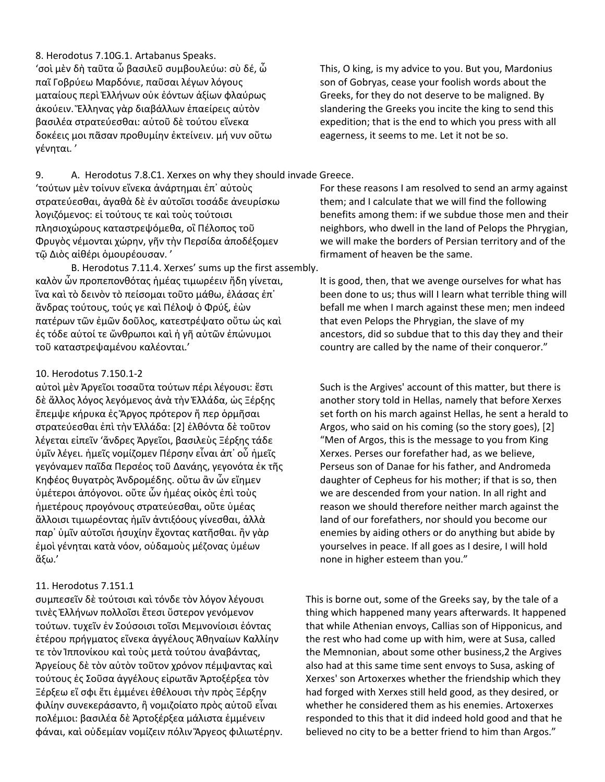8. Herodotus 7.10G.1. Artabanus Speaks.

'σοὶ μὲν δὴ ταῦτα ὦ βασιλεῦ συμβουλεύω: σὺ δέ, ὦ παῖ Γοβρύεω Μαρδόνιε, παῦσαι λέγων λόγους ματαίους περὶ Ἑλλήνων οὐκ ἐόντων ἀξίων φλαύρως ἀκούειν. Ἕλληνας γὰρ διαβάλλων ἐπαείρεις αὐτὸν βασιλέα στρατεύεσθαι: αὐτοῦ δὲ τούτου εἵνεκα δοκέεις μοι πᾶσαν προθυμίην ἐκτείνειν. μή νυν οὕτω γένηται. '

9. A. Herodotus 7.8.C1. Xerxes on why they should invade Greece. 'τούτων μὲν τοίνυν εἵνεκα ἀνάρτημαι ἐπ᾽ αὐτοὺς στρατεύεσθαι, ἀγαθὰ δὲ ἐν αὐτοῖσι τοσάδε ἀνευρίσκω λογιζόμενος: εἰ τούτους τε καὶ τοὺς τούτοισι πλησιοχώρους καταστρεψόμεθα, οἳ Πέλοπος τοῦ Φρυγὸς νέμονται χώρην, γῆν τὴν Περσίδα ἀποδέξομεν τῷ Διὸς αἰθέρι ὁμουρέουσαν. '

B. Herodotus 7.11.4. Xerxes' sums up the first assembly. καλὸν ὦν προπεπονθότας ἡμέας τιμωρέειν ἤδη γίνεται, ἵνα καὶ τὸ δεινὸν τὸ πείσομαι τοῦτο μάθω, ἐλάσας ἐπ᾽ ἄνδρας τούτους, τούς γε καὶ Πέλοψ ὁ Φρύξ, ἐὼν πατέρων τῶν ἐμῶν δοῦλος, κατεστρέψατο οὕτω ὡς καὶ ἐς τόδε αὐτοί τε ὥνθρωποι καὶ ἡ γῆ αὐτῶν ἐπώνυμοι τοῦ καταστρεψαμένου καλέονται.'

### 10. Herodotus 7.150.1‐2

αὐτοὶ μὲν Ἀργεῖοι τοσαῦτα τούτων πέρι λέγουσι: ἔστι δὲ ἄλλος λόγος λεγόμενος ἀνὰ τὴν Ἑλλάδα, ὡς Ξέρξης ἔπεμψε κήρυκα ἐς Ἄργος πρότερον ἤ περ ὁρμῆσαι στρατεύεσθαι ἐπὶ τὴν Ἑλλάδα: [2] ἐλθόντα δὲ τοῦτον λέγεται εἰπεῖν 'ἄνδρες Ἀργεῖοι, βασιλεὺς Ξέρξης τάδε ὑμῖν λέγει. ἡμεῖς νομίζομεν Πέρσην εἶναι ἀπ᾽ οὗ ἡμεῖς γεγόναμεν παῖδα Περσέος τοῦ Δανάης, γεγονότα ἐκ τῆς Κηφέος θυγατρὸς Ἀνδρομέδης. οὕτω ἂν ὦν εἴημεν ὑμέτεροι ἀπόγονοι. οὔτε ὦν ἡμέας οἰκὸς ἐπὶ τοὺς ἡμετέρους προγόνους στρατεύεσθαι, οὔτε ὑμέας ἄλλοισι τιμωρέοντας ἡμῖν ἀντιξόους γίνεσθαι, ἀλλὰ παρ᾽ ὑμῖν αὐτοῖσι ἡσυχίην ἔχοντας κατῆσθαι. ἢν γὰρ ἐμοὶ γένηται κατὰ νόον, οὐδαμοὺς μέζονας ὑμέων ἄξω.'

# 11. Herodotus 7.151.1

συμπεσεῖν δὲ τούτοισι καὶ τόνδε τὸν λόγον λέγουσι τινὲς Ἑλλήνων πολλοῖσι ἔτεσι ὕστερον γενόμενον τούτων. τυχεῖν ἐν Σούσοισι τοῖσι Μεμνονίοισι ἐόντας ἑτέρου πρήγματος εἵνεκα ἀγγέλους Ἀθηναίων Καλλίην τε τὸν Ἱππονίκου καὶ τοὺς μετὰ τούτου ἀναβάντας, Ἀργείους δὲ τὸν αὐτὸν τοῦτον χρόνον πέμψαντας καὶ τούτους ἐς Σοῦσα ἀγγέλους εἰρωτᾶν Ἀρτοξέρξεα τὸν Ξέρξεω εἴ σφι ἔτι ἐμμένει ἐθέλουσι τὴν πρὸς Ξέρξην φιλίην συνεκεράσαντο, ἢ νομιζοίατο πρὸς αὐτοῦ εἶναι πολέμιοι: βασιλέα δὲ Ἀρτοξέρξεα μάλιστα ἐμμένειν φάναι, καὶ οὐδεμίαν νομίζειν πόλιν Ἄργεος φιλιωτέρην. This, O king, is my advice to you. But you, Mardonius son of Gobryas, cease your foolish words about the Greeks, for they do not deserve to be maligned. By slandering the Greeks you incite the king to send this expedition; that is the end to which you press with all eagerness, it seems to me. Let it not be so.

For these reasons I am resolved to send an army against them; and I calculate that we will find the following benefits among them: if we subdue those men and their neighbors, who dwell in the land of Pelops the Phrygian, we will make the borders of Persian territory and of the firmament of heaven be the same.

It is good, then, that we avenge ourselves for what has been done to us; thus will I learn what terrible thing will befall me when I march against these men; men indeed that even Pelops the Phrygian, the slave of my ancestors, did so subdue that to this day they and their country are called by the name of their conqueror."

Such is the Argives' account of this matter, but there is another story told in Hellas, namely that before Xerxes set forth on his march against Hellas, he sent a herald to Argos, who said on his coming (so the story goes), [2] "Men of Argos, this is the message to you from King Xerxes. Perses our forefather had, as we believe, Perseus son of Danae for his father, and Andromeda daughter of Cepheus for his mother; if that is so, then we are descended from your nation. In all right and reason we should therefore neither march against the land of our forefathers, nor should you become our enemies by aiding others or do anything but abide by yourselves in peace. If all goes as I desire, I will hold none in higher esteem than you."

This is borne out, some of the Greeks say, by the tale of a thing which happened many years afterwards. It happened that while Athenian envoys, Callias son of Hipponicus, and the rest who had come up with him, were at Susa, called the Memnonian, about some other business,2 the Argives also had at this same time sent envoys to Susa, asking of Xerxes' son Artoxerxes whether the friendship which they had forged with Xerxes still held good, as they desired, or whether he considered them as his enemies. Artoxerxes responded to this that it did indeed hold good and that he believed no city to be a better friend to him than Argos."